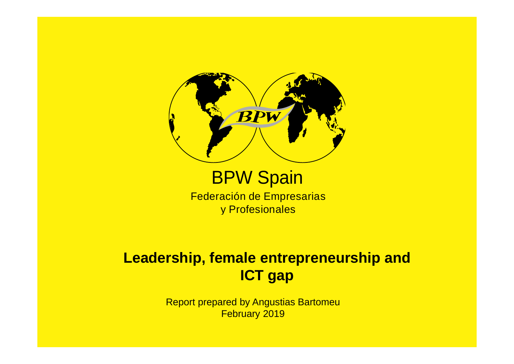

#### **BPW Spain**

Federación de Empresarias y Profesionales

#### **Leadership, female entrepreneurship and ICT gap**

Report prepared by Angustias BartomeuFebruary 2019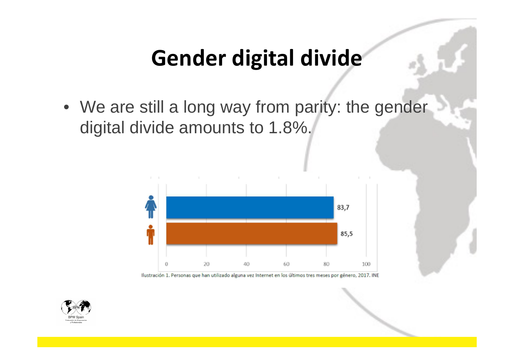#### **Gender digital divide**

• We are still a long way from parity: the gender digital divide amounts to 1.8%.



Ilustración 1. Personas que han utilizado alguna vez Internet en los últimos tres meses por género, 2017. INE

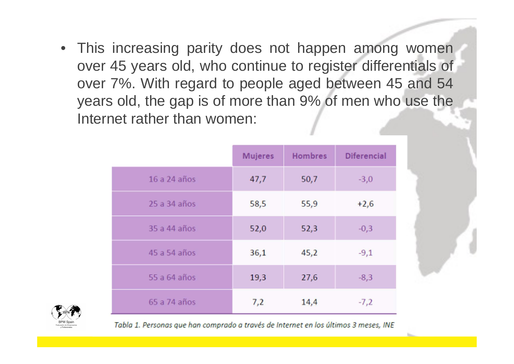• This increasing parity does not happen among women over 45 years old, who continue to register differentials of over 7%. With regard to people aged between 45 and 54 years old, the gap is of more than 9% of men who use theInternet rather than women:

|              | <b>Mujeres</b> | <b>Hombres</b> | <b>Diferencial</b> |
|--------------|----------------|----------------|--------------------|
| 16 a 24 años | 47,7           | 50,7           | $-3,0$             |
| 25 a 34 años | 58,5           | 55,9           | $+2,6$             |
| 35 a 44 años | 52,0           | 52,3           | $-0,3$             |
| 45 a 54 años | 36,1           | 45,2           | $-9,1$             |
| 55 a 64 años | 19,3           | 27,6           | $-8,3$             |
| 65 a 74 años | 7,2            | 14,4           | $-7,2$             |



Tabla 1. Personas que han comprado a través de Internet en los últimos 3 meses, INE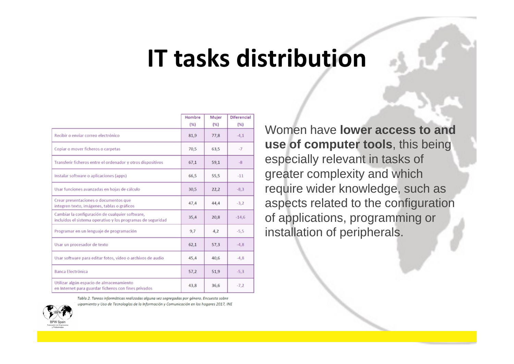### **IT tasks distribution**

|                                                                                                                | Hombre<br>(%) | Mujer<br>(% ) | <b>Diferencial</b><br>(% ) |
|----------------------------------------------------------------------------------------------------------------|---------------|---------------|----------------------------|
| Recibir o enviar correo electrónico                                                                            | 81,9          | 77,8          | $-4,1$                     |
| Copiar o mover ficheros o carpetas                                                                             | 70,5          | 63,5          | $-7$                       |
| Transferir ficheros entre el ordenador y otros dispositivos                                                    | 67,1          | 59,1          | $-8$                       |
| Instalar software o aplicaciones (apps)                                                                        | 66,5          | 55,5          | $-11$                      |
| Usar funciones avanzadas en hojas de cálculo                                                                   | 30,5          | 22,2          | $-8,3$                     |
| Crear presentaciones o documentos que<br>integren texto, imágenes, tablas o gráficos                           | 47,4          | 44,4          | $-3,2$                     |
| Cambiar la configuración de cualquier software,<br>incluidos el sistema operativo y los programas de seguridad | 35,4          | 20,8          | $-14,6$                    |
| Programar en un lenguaje de programación                                                                       | 9,7           | 4,2           | $-5,5$                     |
| Usar un procesador de texto                                                                                    | 62,1          | 57,3          | $-4,8$                     |
| Usar software para editar fotos, video o archivos de audio                                                     | 45,4          | 40,6          | $-4,8$                     |
| <b>Banca Electrónica</b>                                                                                       | 57,2          | 51,9          | $-5,3$                     |
| Utilizar algún espacio de almacenamiento<br>en Internet para guardar ficheros con fines privados               | 43,8          | 36,6          | $-7,2$                     |

Tabla 2. Tareas informáticas realizadas alguna vez segregadas por género. Encuesta sobre uipamiento y Uso de Tecnologías de la Información y Comunicación en los hogares 2017, INE



Women have **lower access to and use of computer tools**, this being especially relevant in tasks of greater complexity and which require wider knowledge, such as aspects related to the configuration of applications, programming or installation of peripherals.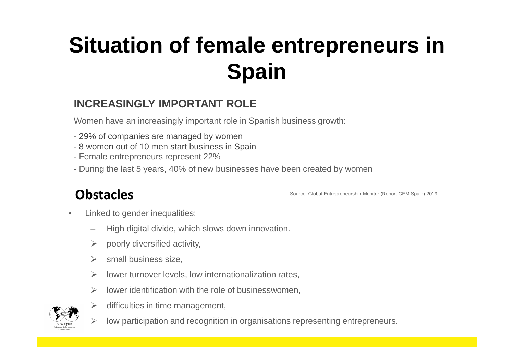#### **Situation of female entrepreneurs in Spain**

#### **INCREASINGLY IMPORTANT ROLE**

Women have an increasingly important role in Spanish business growth:

- 29% of companies are managed by women
- 8 women out of 10 men start business in Spain<br>- Eemale entrepreneurs represent 22%
- Female entrepreneurs represent 22%
- During the last 5 years, 40% of new businesses have been created by women

#### **Obstacles**

Source: Global Entrepreneurship Monitor (Report GEM Spain) 2019

- • Linked to gender inequalities:
	- High digital divide, which slows down innovation.
	- ➤ poorly diversified activity,
	- $\triangleright$ small business size,
	- $\blacktriangleright$ lower turnover levels, low internationalization rates,
	- $\blacktriangleright$ lower identification with the role of businesswomen,



 $\blacktriangleright$ 

- $\blacktriangleright$  difficulties in time management,
	- low participation and recognition in organisations representing entrepreneurs.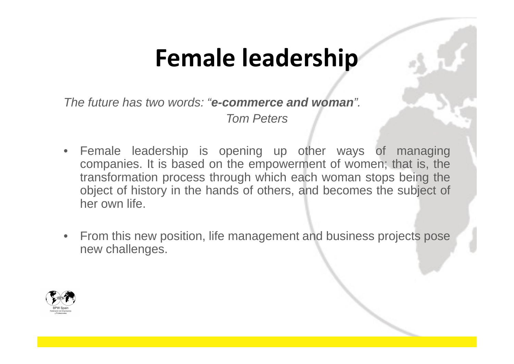# **Female leadership**

The future has two words: "**e-commerce and woman**".

Tom Peters

- Female leadership is opening up other ways of managing companies. It is based on the empowerment of women; that is, the transformation process through which each woman stops being the object of history in the hands of others, and becomes the subject of her own life.
- From this new position, life management and business projects pose new challenges.

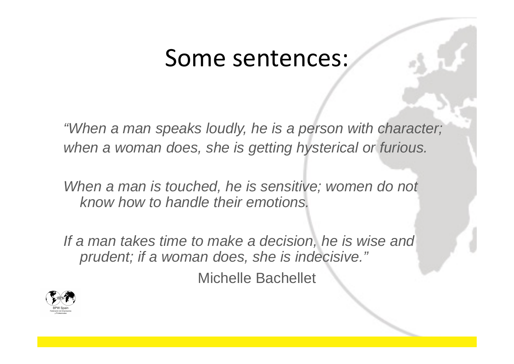#### Some sentences:

"When a man speaks loudly, he is a person with character; when a woman does, she is getting hysterical or furious.

When a man is touched, he is sensitive; women do not know how to handle their emotions.

If a man takes time to make a decision, he is wise and prudent; if a woman does, she is indecisive."

Michelle Bachellet

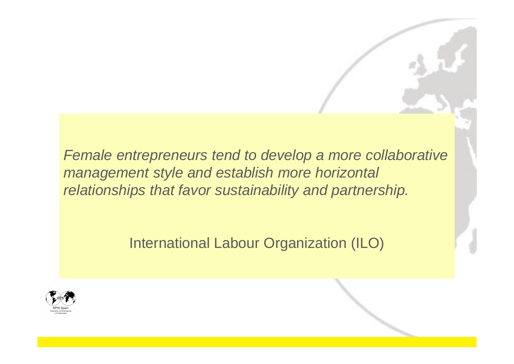Female entrepreneurs tend to develop a more collaborative management style and establish more horizontal relationships that favor sustainability and partnership.

International Labour Organization (ILO)

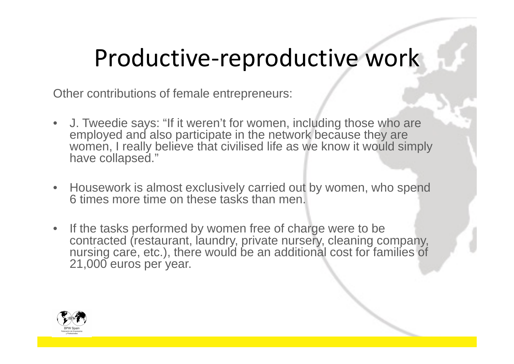## Productive-reproductive work

Other contributions of female entrepreneurs:

- J. Tweedie says: "If it weren't for women, including those who are employed and also participate in the network because they are women, I really believe that civilised life as we know it would simply have collapsed."
- $\bullet$  Housework is almost exclusively carried out by women, who spend 6 times more time on these tasks than men.
- $\bullet$  If the tasks performed by women free of charge were to be contracted (restaurant, laundry, private nursery, cleaning company, nursing care, etc.), there would be an additional cost for families of 21,000 euros per year.

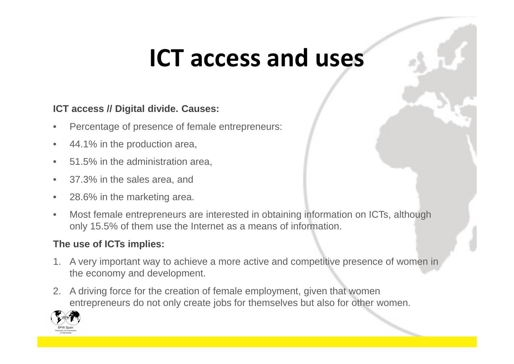## **ICT access and uses**

#### **ICT access // Digital divide. Causes:**

- •Percentage of presence of female entrepreneurs:
- •44.1% in the production area,
- •51.5% in the administration area,
- •37.3% in the sales area, and
- $\bullet$ 28.6% in the marketing area.
- • Most female entrepreneurs are interested in obtaining information on ICTs, although only 15.5% of them use the Internet as a means of information.

#### **The use of ICTs implies:**

- 1. A very important way to achieve a more active and competitive presence of women in the economy and development.
- 2. A driving force for the creation of female employment, given that women entrepreneurs do not only create jobs for themselves but also for other women.

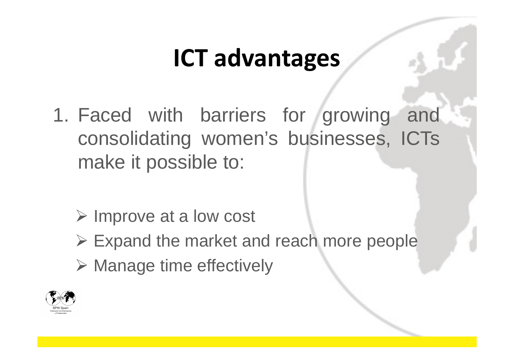# **ICT advantages**

- 1. Faced with barriers for growing and consolidating women's businesses, ICTs make it possible to:
	- > Improve at a low cost
	- Expand the market and reach more people
	- Manage time effectively

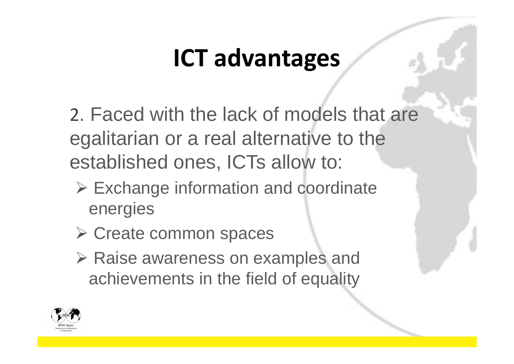# **ICT advantages**

2. Faced with the lack of models that are egalitarian or a real alternative to the established ones, ICTs allow to:

- Exchange information and coordinate energies
- Create common spaces
- ▶ Raise awareness on examples and<br/>\n<b>Rabiaryeq</b> achievements in the field of equality

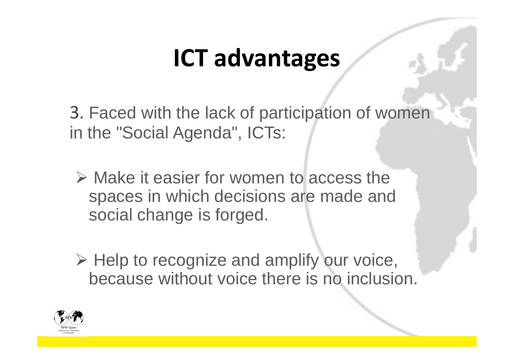# **ICT advantages**

3. Faced with the lack of participation of women in the "Social Agenda", ICTs:

- $\triangleright$  Make it easier for women to access the <br>enaces in which decisions are made and spaces in which decisions are made and social change is forged.
- $\triangleright$  Help to recognize and amplify our voice,<br>because without voice there is no inclusion because without voice there is no inclusion.

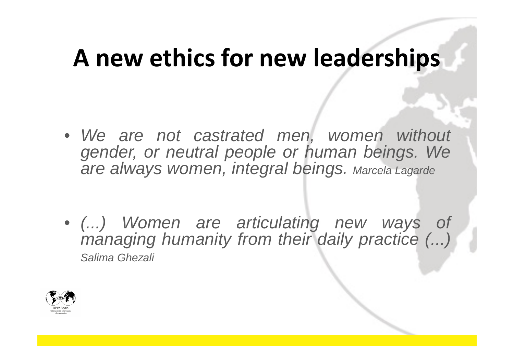## **A new ethics for new leaderships**

- We are not castrated men, women without gender, or neutral people or human beings. Weare always women, integral beings. Marcela Lagarde
- (...) Women are articulating new ways of managing humanity from their daily practice (...)<br>Salima Ghezali Salima Ghezali